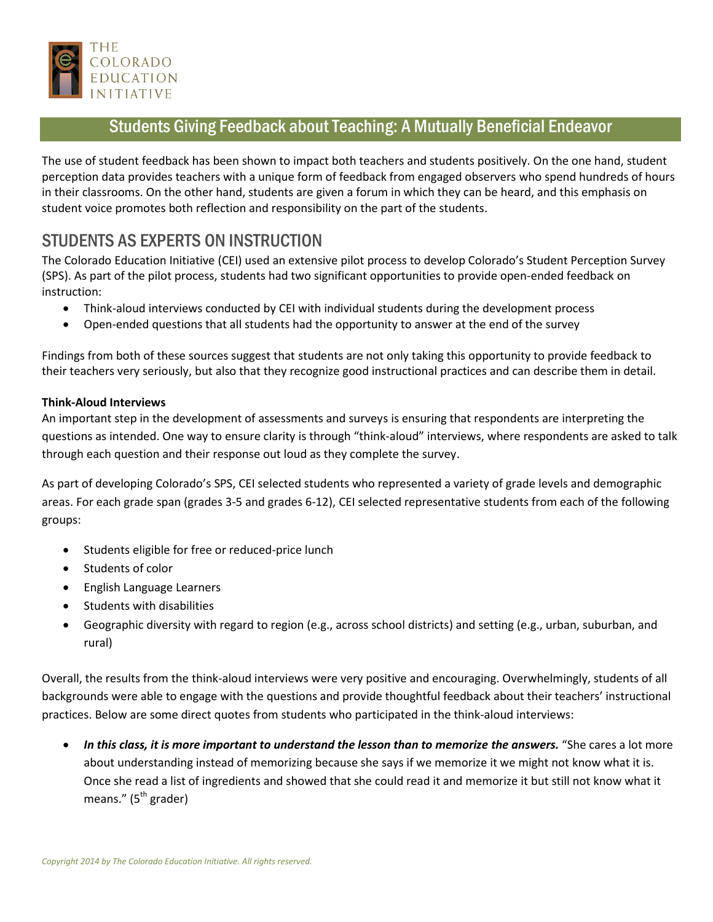

## Students Giving Feedback about Teaching: A Mutually Beneficial Endeavor

The use of student feedback has been shown to impact both teachers and students positively. On the one hand, student perception data provides teachers with a unique form of feedback from engaged observers who spend hundreds of hours in their classrooms. On the other hand, students are given a forum in which they can be heard, and this emphasis on student voice promotes both reflection and responsibility on the part of the students.

# STUDENTS AS EXPERTS ON INSTRUCTION

The Colorado Education Initiative (CEI) used an extensive pilot process to develop Colorado's Student Perception Survey (SPS). As part of the pilot process, students had two significant opportunities to provide open-ended feedback on instruction:

- Think-aloud interviews conducted by CEI with individual students during the development process
- Open-ended questions that all students had the opportunity to answer at the end of the survey

Findings from both of these sources suggest that students are not only taking this opportunity to provide feedback to their teachers very seriously, but also that they recognize good instructional practices and can describe them in detail.

#### **Think-Aloud Interviews**

An important step in the development of assessments and surveys is ensuring that respondents are interpreting the questions as intended. One way to ensure clarity is through "think-aloud" interviews, where respondents are asked to talk through each question and their response out loud as they complete the survey.

As part of developing Colorado's SPS, CEI selected students who represented a variety of grade levels and demographic areas. For each grade span (grades 3-5 and grades 6-12), CEI selected representative students from each of the following groups:

- Students eligible for free or reduced-price lunch
- Students of color
- English Language Learners
- **•** Students with disabilities
- Geographic diversity with regard to region (e.g., across school districts) and setting (e.g., urban, suburban, and rural)

Overall, the results from the think-aloud interviews were very positive and encouraging. Overwhelmingly, students of all backgrounds were able to engage with the questions and provide thoughtful feedback about their teachers' instructional practices. Below are some direct quotes from students who participated in the think-aloud interviews:

 *In this class, it is more important to understand the lesson than to memorize the answers.* "She cares a lot more about understanding instead of memorizing because she says if we memorize it we might not know what it is. Once she read a list of ingredients and showed that she could read it and memorize it but still not know what it means." ( $5<sup>th</sup>$  grader)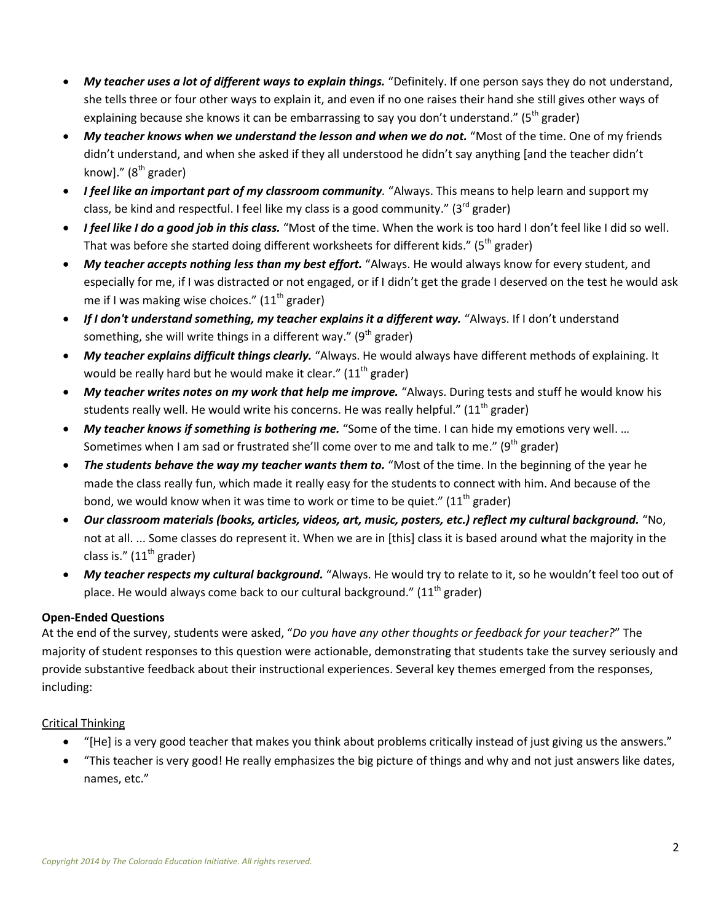- *My teacher uses a lot of different ways to explain things.* "Definitely. If one person says they do not understand, she tells three or four other ways to explain it, and even if no one raises their hand she still gives other ways of explaining because she knows it can be embarrassing to say you don't understand." ( $5<sup>th</sup>$  grader)
- *My teacher knows when we understand the lesson and when we do not.* "Most of the time. One of my friends didn't understand, and when she asked if they all understood he didn't say anything [and the teacher didn't know]."  $(8<sup>th</sup>$  grader)
- *I feel like an important part of my classroom community.* "Always. This means to help learn and support my class, be kind and respectful. I feel like my class is a good community."  $(3^{rd}$  grader)
- *I feel like I do a good job in this class.* "Most of the time. When the work is too hard I don't feel like I did so well. That was before she started doing different worksheets for different kids." ( $5<sup>th</sup>$  grader)
- *My teacher accepts nothing less than my best effort.* "Always. He would always know for every student, and especially for me, if I was distracted or not engaged, or if I didn't get the grade I deserved on the test he would ask me if I was making wise choices."  $(11<sup>th</sup>$  grader)
- If I don't understand something, my teacher explains it a different way. "Always. If I don't understand something, she will write things in a different way." ( $9<sup>th</sup>$  grader)
- *My teacher explains difficult things clearly.* "Always. He would always have different methods of explaining. It would be really hard but he would make it clear."  $(11<sup>th</sup>$  grader)
- *My teacher writes notes on my work that help me improve.* "Always. During tests and stuff he would know his students really well. He would write his concerns. He was really helpful."  $(11<sup>th</sup>$  grader)
- *My teacher knows if something is bothering me.* "Some of the time. I can hide my emotions very well. … Sometimes when I am sad or frustrated she'll come over to me and talk to me." (9<sup>th</sup> grader)
- *The students behave the way my teacher wants them to.* "Most of the time. In the beginning of the year he made the class really fun, which made it really easy for the students to connect with him. And because of the bond, we would know when it was time to work or time to be quiet."  $(11<sup>th</sup>$  grader)
- *Our classroom materials (books, articles, videos, art, music, posters, etc.) reflect my cultural background.* "No, not at all. ... Some classes do represent it. When we are in [this] class it is based around what the majority in the class is."  $(11<sup>th</sup>$  grader)
- *My teacher respects my cultural background.* "Always. He would try to relate to it, so he wouldn't feel too out of place. He would always come back to our cultural background." ( $11<sup>th</sup>$  grader)

### **Open-Ended Questions**

At the end of the survey, students were asked, "*Do you have any other thoughts or feedback for your teacher?*" The majority of student responses to this question were actionable, demonstrating that students take the survey seriously and provide substantive feedback about their instructional experiences. Several key themes emerged from the responses, including:

### Critical Thinking

- "[He] is a very good teacher that makes you think about problems critically instead of just giving us the answers."
- "This teacher is very good! He really emphasizes the big picture of things and why and not just answers like dates, names, etc."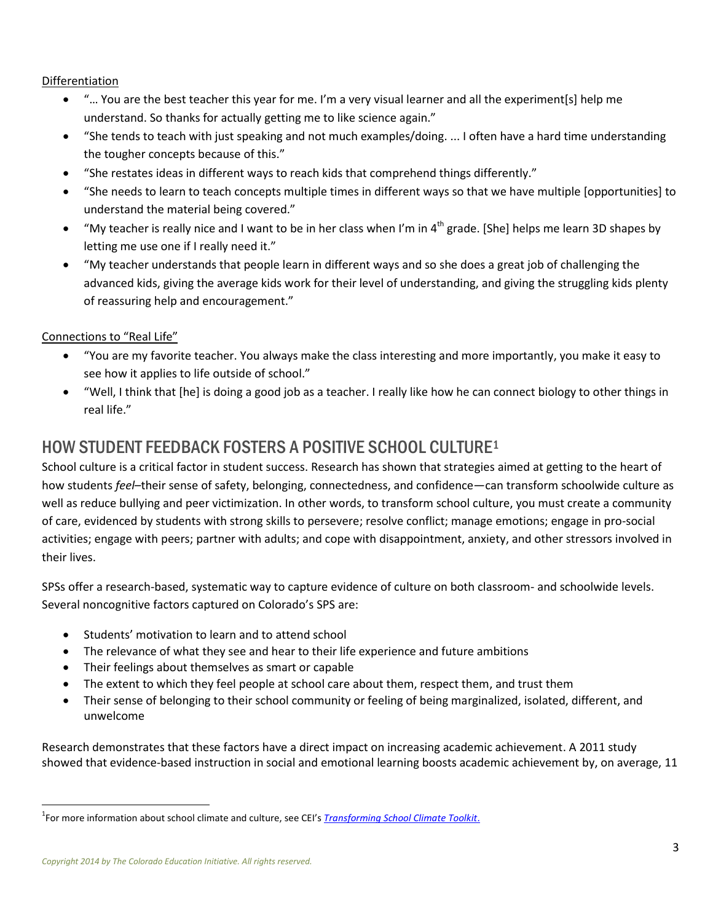Differentiation

- "… You are the best teacher this year for me. I'm a very visual learner and all the experiment[s] help me understand. So thanks for actually getting me to like science again."
- "She tends to teach with just speaking and not much examples/doing. ... I often have a hard time understanding the tougher concepts because of this."
- "She restates ideas in different ways to reach kids that comprehend things differently."
- "She needs to learn to teach concepts multiple times in different ways so that we have multiple [opportunities] to understand the material being covered."
- "My teacher is really nice and I want to be in her class when I'm in 4<sup>th</sup> grade. [She] helps me learn 3D shapes by letting me use one if I really need it."
- "My teacher understands that people learn in different ways and so she does a great job of challenging the advanced kids, giving the average kids work for their level of understanding, and giving the struggling kids plenty of reassuring help and encouragement."

#### Connections to "Real Life"

- "You are my favorite teacher. You always make the class interesting and more importantly, you make it easy to see how it applies to life outside of school."
- "Well, I think that [he] is doing a good job as a teacher. I really like how he can connect biology to other things in real life."

## HOW STUDENT FEEDBACK FOSTERS A POSITIVE SCHOOL CULTURE<sup>1</sup>

School culture is a critical factor in student success. Research has shown that strategies aimed at getting to the heart of how students *feel*–their sense of safety, belonging, connectedness, and confidence—can transform schoolwide culture as well as reduce bullying and peer victimization. In other words, to transform school culture, you must create a community of care, evidenced by students with strong skills to persevere; resolve conflict; manage emotions; engage in pro-social activities; engage with peers; partner with adults; and cope with disappointment, anxiety, and other stressors involved in their lives.

SPSs offer a research-based, systematic way to capture evidence of culture on both classroom- and schoolwide levels. Several noncognitive factors captured on Colorado's SPS are:

- Students' motivation to learn and to attend school
- The relevance of what they see and hear to their life experience and future ambitions
- Their feelings about themselves as smart or capable
- The extent to which they feel people at school care about them, respect them, and trust them
- Their sense of belonging to their school community or feeling of being marginalized, isolated, different, and unwelcome

Research demonstrates that these factors have a direct impact on increasing academic achievement. A 2011 study showed that evidence-based instruction in social and emotional learning boosts academic achievement by, on average, 11

 $\overline{\phantom{a}}$ 

<sup>1</sup> For more information about school climate and culture, see CEI's *[Transforming School Climate Toolkit](http://coloradoedinitiative.org/resources/transforming-school-climate-toolkit)*.